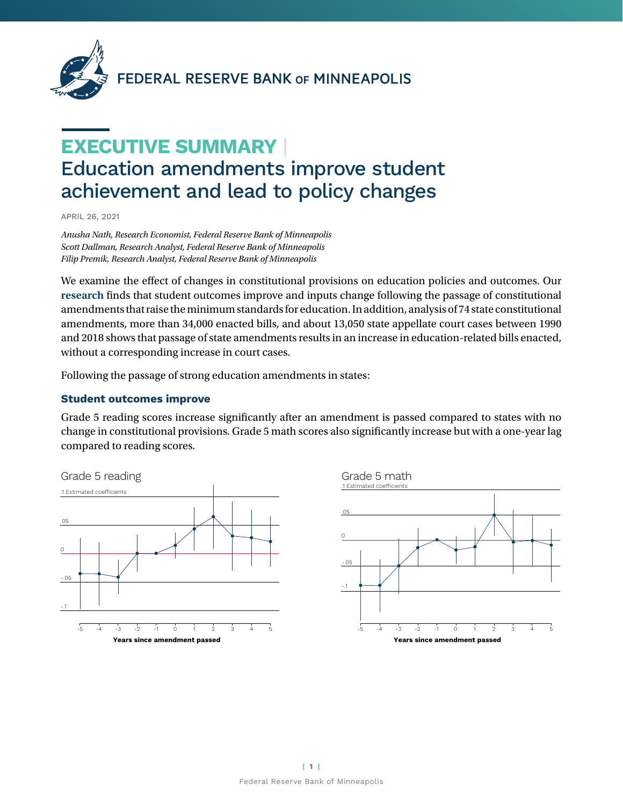

# FEDERAL RESERVE BANK OF MINNEAPOLIS

# **EXECUTIVE SUMMARY** | Education amendments improve student achievement and lead to policy changes

APRIL 26, 2021

*Anusha Nath, Research Economist, Federal Reserve Bank of Minneapolis Scott Dallman, Research Analyst, Federal Reserve Bank of Minneapolis Filip Premik, Research Analyst, Federal Reserve Bank of Minneapolis*

We examine the effect of changes in constitutional provisions on education policies and outcomes. Our **[research](https://www.minneapolisfed.org/research/staff-reports/the-effect-of-constitutional-provisions-on-education-policy-and-outcomes)** finds that student outcomes improve and inputs change following the passage of constitutional amendments that raise the minimum standards for education. In addition, analysis of 74 state constitutional amendments, more than 34,000 enacted bills, and about 13,050 state appellate court cases between 1990 and 2018 shows that passage of state amendments results in an increase in education-related bills enacted, without a corresponding increase in court cases.

Following the passage of strong education amendments in states:

#### **Student outcomes improve**

Grade 5 reading scores increase significantly after an amendment is passed compared to states with no change in constitutional provisions. Grade 5 math scores also significantly increase but with a one-year lag compared to reading scores.